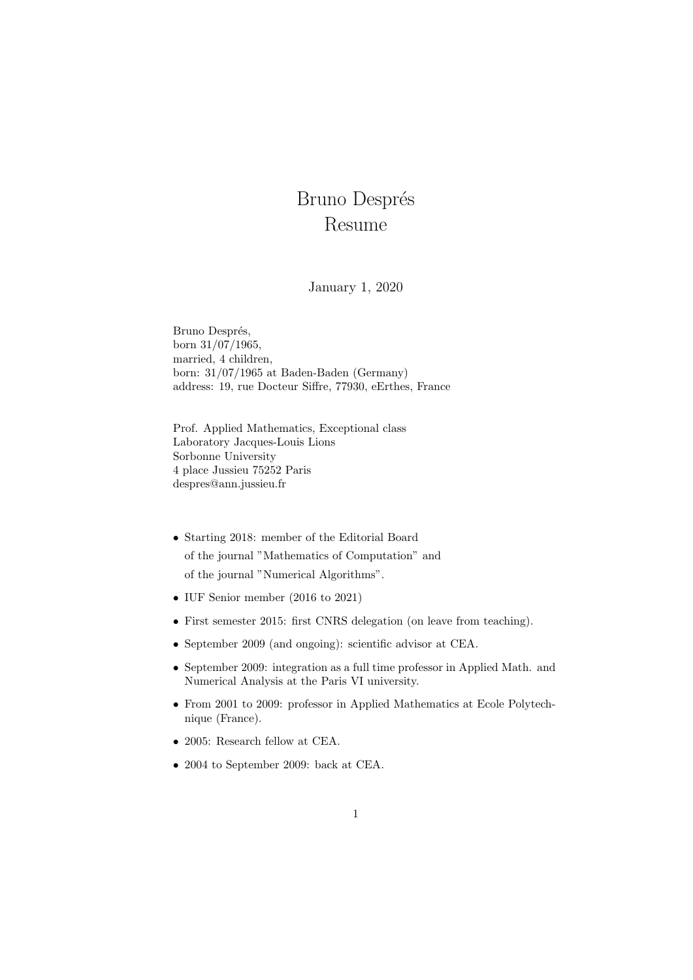## Bruno Després Resume

## January 1, 2020

Bruno Després, born 31/07/1965, married, 4 children, born: 31/07/1965 at Baden-Baden (Germany) address: 19, rue Docteur Siffre, 77930, eErthes, France

Prof. Applied Mathematics, Exceptional class Laboratory Jacques-Louis Lions Sorbonne University 4 place Jussieu 75252 Paris despres@ann.jussieu.fr

- Starting 2018: member of the Editorial Board of the journal "Mathematics of Computation" and of the journal "Numerical Algorithms".
- IUF Senior member (2016 to 2021)
- First semester 2015: first CNRS delegation (on leave from teaching).
- September 2009 (and ongoing): scientific advisor at CEA.
- September 2009: integration as a full time professor in Applied Math. and Numerical Analysis at the Paris VI university.
- From 2001 to 2009: professor in Applied Mathematics at Ecole Polytechnique (France).
- 2005: Research fellow at CEA.
- 2004 to September 2009: back at CEA.